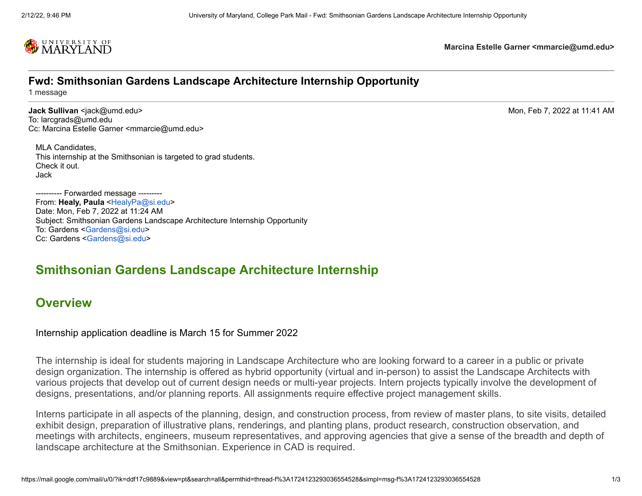

**Marcina Estelle Garner <mmarcie@umd.edu>**

#### **Fwd: Smithsonian Gardens Landscape Architecture Internship Opportunity**

1 message

**Jack Sullivan** <jack@umd.edu> Mon, Feb 7, 2022 at 11:41 AM To: larcgrads@umd.edu Cc: Marcina Estelle Garner <mmarcie@umd.edu>

MLA Candidates, This internship at the Smithsonian is targeted to grad students. Check it out. Jack

---------- Forwarded message --------- From: **Healy, Paula** [<HealyPa@si.edu](mailto:HealyPa@si.edu)> Date: Mon, Feb 7, 2022 at 11:24 AM Subject: Smithsonian Gardens Landscape Architecture Internship Opportunity To: Gardens <[Gardens@si.edu>](mailto:Gardens@si.edu) Cc: Gardens [<Gardens@si.edu](mailto:Gardens@si.edu)>

## **Smithsonian Gardens Landscape Architecture Internship**

#### **Overview**

#### Internship application deadline is March 15 for Summer 2022

The internship is ideal for students majoring in Landscape Architecture who are looking forward to a career in a public or private design organization. The internship is offered as hybrid opportunity (virtual and in-person) to assist the Landscape Architects with various projects that develop out of current design needs or multi-year projects. Intern projects typically involve the development of designs, presentations, and/or planning reports. All assignments require effective project management skills.

Interns participate in all aspects of the planning, design, and construction process, from review of master plans, to site visits, detailed exhibit design, preparation of illustrative plans, renderings, and planting plans, product research, construction observation, and meetings with architects, engineers, museum representatives, and approving agencies that give a sense of the breadth and depth of landscape architecture at the Smithsonian. Experience in CAD is required.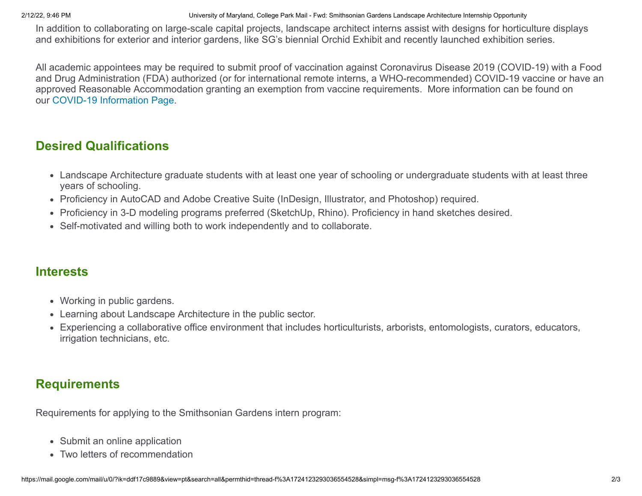2/12/22, 9:46 PM University of Maryland, College Park Mail - Fwd: Smithsonian Gardens Landscape Architecture Internship Opportunity

In addition to collaborating on large-scale capital projects, landscape architect interns assist with designs for horticulture displays and exhibitions for exterior and interior gardens, like SG's biennial Orchid Exhibit and recently launched exhibition series.

All academic appointees may be required to submit proof of vaccination against Coronavirus Disease 2019 (COVID-19) with a Food and Drug Administration (FDA) authorized (or for international remote interns, a WHO-recommended) COVID-19 vaccine or have an approved Reasonable Accommodation granting an exemption from vaccine requirements. More information can be found on our [COVID-19 Information](https://internships.si.edu/covid-19-information) Page.

## **Desired Qualifications**

- Landscape Architecture graduate students with at least one year of schooling or undergraduate students with at least three years of schooling.
- Proficiency in AutoCAD and Adobe Creative Suite (InDesign, Illustrator, and Photoshop) required.
- Proficiency in 3-D modeling programs preferred (SketchUp, Rhino). Proficiency in hand sketches desired.
- Self-motivated and willing both to work independently and to collaborate.

## **Interests**

- Working in public gardens.
- Learning about Landscape Architecture in the public sector.
- Experiencing a collaborative office environment that includes horticulturists, arborists, entomologists, curators, educators, irrigation technicians, etc.

# **Requirements**

Requirements for applying to the Smithsonian Gardens intern program:

- Submit an online application
- Two letters of recommendation